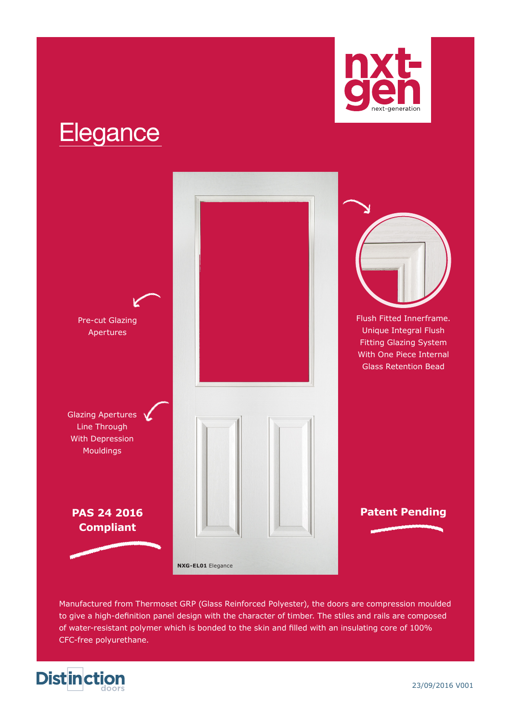

# **Elegance**



Manufactured from Thermoset GRP (Glass Reinforced Polyester), the doors are compression moulded to give a high-definition panel design with the character of timber. The stiles and rails are composed of water-resistant polymer which is bonded to the skin and filled with an insulating core of 100% CFC-free polyurethane.